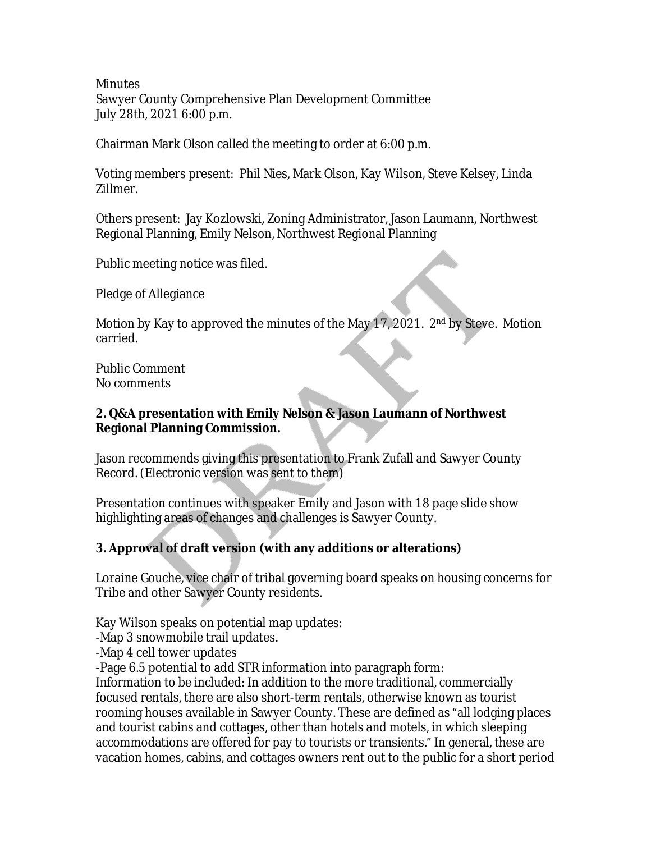**Minutes** Sawyer County Comprehensive Plan Development Committee July 28th, 2021 6:00 p.m.

Chairman Mark Olson called the meeting to order at 6:00 p.m.

Voting members present: Phil Nies, Mark Olson, Kay Wilson, Steve Kelsey, Linda Zillmer.

Others present: Jay Kozlowski, Zoning Administrator, Jason Laumann, Northwest Regional Planning, Emily Nelson, Northwest Regional Planning

Public meeting notice was filed.

Pledge of Allegiance

Motion by Kay to approved the minutes of the May 17, 2021. 2<sup>nd</sup> by Steve. Motion carried.

Public Comment No comments

## **2. Q&A presentation with Emily Nelson & Jason Laumann of Northwest Regional Planning Commission.**

Jason recommends giving this presentation to Frank Zufall and Sawyer County Record. (Electronic version was sent to them)

Presentation continues with speaker Emily and Jason with 18 page slide show highlighting areas of changes and challenges is Sawyer County.

## **3. Approval of draft version (with any additions or alterations)**

Loraine Gouche, vice chair of tribal governing board speaks on housing concerns for Tribe and other Sawyer County residents.

Kay Wilson speaks on potential map updates:

-Map 3 snowmobile trail updates.

-Map 4 cell tower updates

-Page 6.5 potential to add STR information into paragraph form:

Information to be included: In addition to the more traditional, commercially focused rentals, there are also short-term rentals, otherwise known as tourist rooming houses available in Sawyer County. These are defined as "all lodging places and tourist cabins and cottages, other than hotels and motels, in which sleeping accommodations are offered for pay to tourists or transients." In general, these are vacation homes, cabins, and cottages owners rent out to the public for a short period